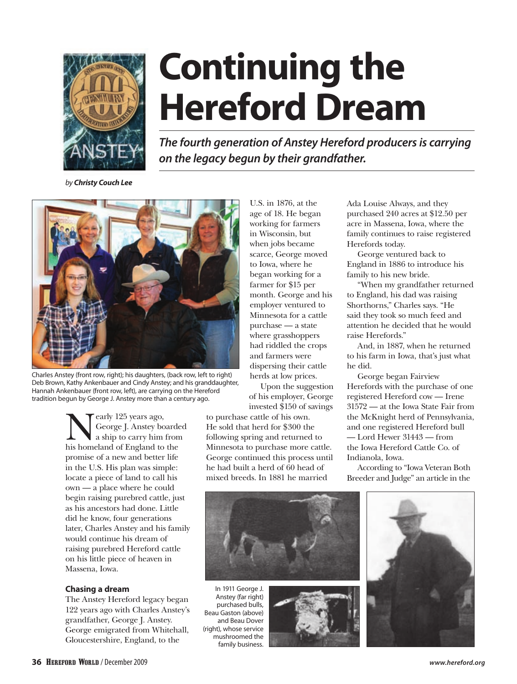

# **Continuing the Hereford Dream**

*The fourth generation of Anstey Hereford producers is carrying on the legacy begun by their grandfather.*

*by Christy Couch Lee*



Charles Anstey (front row, right); his daughters, (back row, left to right) Deb Brown, Kathy Ankenbauer and Cindy Anstey; and his granddaughter, Hannah Ankenbauer (front row, left), are carrying on the Hereford tradition begun by George J. Anstey more than a century ago.

Exarly 125 years ago,<br>George J. Anstey bo<br>his homeland of England to George J. Anstey boarded a ship to carry him from his homeland of England to the promise of a new and better life in the U.S. His plan was simple: locate a piece of land to call his own — a place where he could begin raising purebred cattle, just as his ancestors had done. Little did he know, four generations later, Charles Anstey and his family would continue his dream of raising purebred Hereford cattle on his little piece of heaven in Massena, Iowa.

## **Chasing a dream**

The Anstey Hereford legacy began 122 years ago with Charles Anstey's grandfather, George J. Anstey. George emigrated from Whitehall, Gloucestershire, England, to the

U.S. in 1876, at the age of 18. He began working for farmers in Wisconsin, but when jobs became scarce, George moved to Iowa, where he began working for a farmer for \$15 per month. George and his employer ventured to Minnesota for a cattle purchase — a state where grasshoppers had riddled the crops and farmers were dispersing their cattle herds at low prices.

Upon the suggestion of his employer, George invested \$150 of savings

to purchase cattle of his own. He sold that herd for \$300 the following spring and returned to Minnesota to purchase more cattle. George continued this process until he had built a herd of 60 head of mixed breeds. In 1881 he married

Ada Louise Always, and they purchased 240 acres at \$12.50 per acre in Massena, Iowa, where the family continues to raise registered Herefords today.

George ventured back to England in 1886 to introduce his family to his new bride.

"When my grandfather returned to England, his dad was raising Shorthorns," Charles says. "He said they took so much feed and attention he decided that he would raise Herefords."

And, in 1887, when he returned to his farm in Iowa, that's just what he did.

George began Fairview Herefords with the purchase of one registered Hereford cow — Irene 31572 — at the Iowa State Fair from the McKnight herd of Pennsylvania, and one registered Hereford bull — Lord Hewer 31443 — from the Iowa Hereford Cattle Co. of Indianola, Iowa.

According to "Iowa Veteran Both Breeder and Judge" an article in the



In 1911 George J. Anstey (far right) purchased bulls, Beau Gaston (above) and Beau Dover (right), whose service mushroomed the family business.



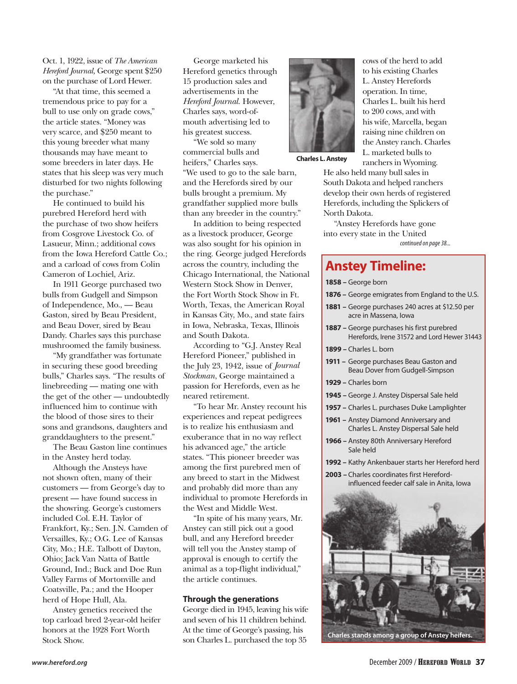Oct. 1, 1922, issue of *The American Hereford Journal,* George spent \$250 on the purchase of Lord Hewer.

"At that time, this seemed a tremendous price to pay for a bull to use only on grade cows," the article states. "Money was very scarce, and \$250 meant to this young breeder what many thousands may have meant to some breeders in later days. He states that his sleep was very much disturbed for two nights following the purchase."

He continued to build his purebred Hereford herd with the purchase of two show heifers from Cosgrove Livestock Co. of Lasueur, Minn.; additional cows from the Iowa Hereford Cattle Co.; and a carload of cows from Colin Cameron of Lochiel, Ariz.

In 1911 George purchased two bulls from Gudgell and Simpson of Independence, Mo., — Beau Gaston, sired by Beau President, and Beau Dover, sired by Beau Dandy. Charles says this purchase mushroomed the family business.

"My grandfather was fortunate in securing these good breeding bulls," Charles says. "The results of linebreeding — mating one with the get of the other — undoubtedly influenced him to continue with the blood of those sires to their sons and grandsons, daughters and granddaughters to the present."

The Beau Gaston line continues in the Anstey herd today.

Although the Ansteys have not shown often, many of their customers — from George's day to present — have found success in the showring. George's customers included Col. E.H. Taylor of Frankfort, Ky.; Sen. J.N. Camden of Versailles, Ky.; O.G. Lee of Kansas City, Mo.; H.E. Talbott of Dayton, Ohio; Jack Van Natta of Battle Ground, Ind.; Buck and Doe Run Valley Farms of Mortonville and Coatsville, Pa.; and the Hooper herd of Hope Hull, Ala.

Anstey genetics received the top carload bred 2-year-old heifer honors at the 1928 Fort Worth Stock Show.

George marketed his Hereford genetics through 15 production sales and advertisements in the *Hereford Journal*. However, Charles says, word-ofmouth advertising led to his greatest success.

"We sold so many commercial bulls and heifers," Charles says. "We used to go to the sale barn, and the Herefords sired by our bulls brought a premium. My grandfather supplied more bulls than any breeder in the country."

In addition to being respected as a livestock producer, George was also sought for his opinion in the ring. George judged Herefords across the country, including the Chicago International, the National Western Stock Show in Denver, the Fort Worth Stock Show in Ft. Worth, Texas, the American Royal in Kansas City, Mo., and state fairs in Iowa, Nebraska, Texas, Illinois and South Dakota.

According to "G.J. Anstey Real Hereford Pioneer," published in the July 23, 1942, issue of *Journal Stockman*, George maintained a passion for Herefords, even as he neared retirement.

"To hear Mr. Anstey recount his experiences and repeat pedigrees is to realize his enthusiasm and exuberance that in no way reflect his advanced age," the article states. "This pioneer breeder was among the first purebred men of any breed to start in the Midwest and probably did more than any individual to promote Herefords in the West and Middle West.

"In spite of his many years, Mr. Anstey can still pick out a good bull, and any Hereford breeder will tell you the Anstey stamp of approval is enough to certify the animal as a top-flight individual," the article continues.

### **Through the generations**

George died in 1945, leaving his wife and seven of his 11 children behind. At the time of George's passing, his son Charles L. purchased the top 35



cows of the herd to add to his existing Charles L. Anstey Herefords operation. In time, Charles L. built his herd to 200 cows, and with his wife, Marcella, began raising nine children on the Anstey ranch. Charles L. marketed bulls to ranchers in Wyoming.

**Charles L. Anstey**

He also held many bull sales in South Dakota and helped ranchers develop their own herds of registered Herefords, including the Splickers of North Dakota.

"Anstey Herefords have gone into every state in the United

*continued on page 38...*

# **Anstey Timeline:**

**1858 –** George born

- **1876 –** George emigrates from England to the U.S.
- **1881 –** George purchases 240 acres at \$12.50 per acre in Massena, Iowa
- **1887 –** George purchases his first purebred Herefords, Irene 31572 and Lord Hewer 31443
- **1899 –** Charles L. born
- **1911 –** George purchases Beau Gaston and Beau Dover from Gudgell-Simpson
- **1929 –** Charles born
- **1945 –** George J. Anstey Dispersal Sale held
- **1957 –** Charles L. purchases Duke Lamplighter
- **1961 –** Anstey Diamond Anniversary and Charles L. Anstey Dispersal Sale held
- **1966 –** Anstey 80th Anniversary Hereford Sale held
- **1992 –** Kathy Ankenbauer starts her Hereford herd
- **2003 –** Charles coordinates first Herefordinfluenced feeder calf sale in Anita, Iowa